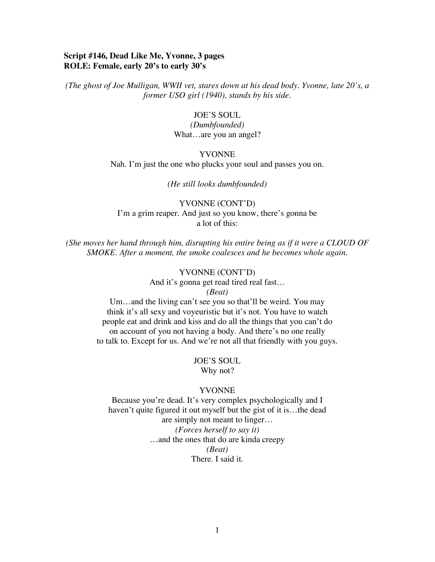# **Script #146, Dead Like Me, Yvonne, 3 pages ROLE: Female, early 20's to early 30's**

*(The ghost of Joe Mulligan, WWII vet, stares down at his dead body. Yvonne, late 20's, a former USO girl (1940), stands by his side.*

#### JOE'S SOUL

*(Dumbfounded)* What…are you an angel?

### YVONNE

Nah. I'm just the one who plucks your soul and passes you on.

*(He still looks dumbfounded)*

YVONNE (CONT'D) I'm a grim reaper. And just so you know, there's gonna be a lot of this:

*(She moves her hand through him, disrupting his entire being as if it were a CLOUD OF SMOKE. After a moment, the smoke coalesces and he becomes whole again.*

# YVONNE (CONT'D)

And it's gonna get read tired real fast…

*(Beat)*

Um…and the living can't see you so that'll be weird. You may think it's all sexy and voyeuristic but it's not. You have to watch people eat and drink and kiss and do all the things that you can't do on account of you not having a body. And there's no one really to talk to. Except for us. And we're not all that friendly with you guys.

> JOE'S SOUL Why not?

### YVONNE

Because you're dead. It's very complex psychologically and I haven't quite figured it out myself but the gist of it is...the dead are simply not meant to linger… *(Forces herself to say it)* …and the ones that do are kinda creepy *(Beat)* There. I said it.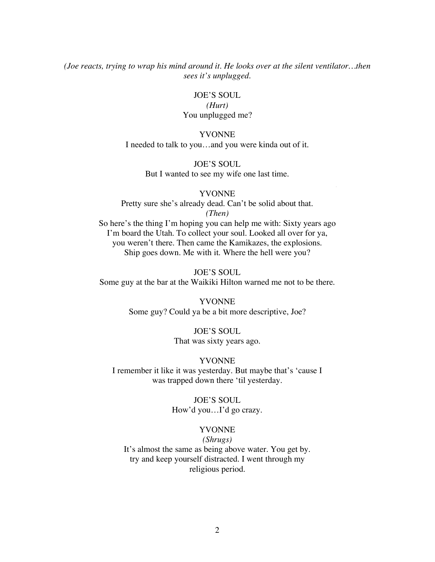*(Joe reacts, trying to wrap his mind around it. He looks over at the silent ventilator…then sees it's unplugged.*

JOE'S SOUL

## *(Hurt)* You unplugged me?

## YVONNE

I needed to talk to you…and you were kinda out of it.

JOE'S SOUL But I wanted to see my wife one last time.

#### YVONNE

AGR LA

Pretty sure she's already dead. Can't be solid about that. *(Then)*

So here's the thing I'm hoping you can help me with: Sixty years ago I'm board the Utah. To collect your soul. Looked all over for ya, you weren't there. Then came the Kamikazes, the explosions. Ship goes down. Me with it. Where the hell were you?

JOE'S SOUL Some guy at the bar at the Waikiki Hilton warned me not to be there.

> YVONNE Some guy? Could ya be a bit more descriptive, Joe?

> > JOE'S SOUL That was sixty years ago.

## YVONNE

I remember it like it was yesterday. But maybe that's 'cause I was trapped down there 'til yesterday.

> JOE'S SOUL How'd you…I'd go crazy.

## YVONNE

*(Shrugs)*

It's almost the same as being above water. You get by. try and keep yourself distracted. I went through my religious period.